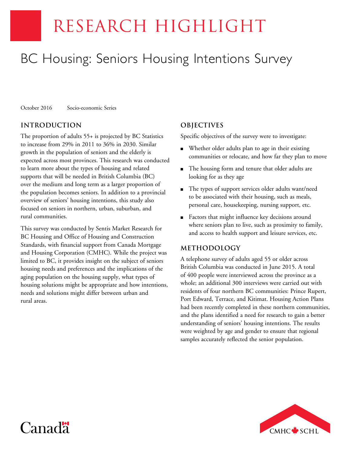# RESEARCH HIGHLIGHT

# BC Housing: Seniors Housing Intentions Survey

October 2016 Socio-economic Series

# **INTRODUCTION**

The proportion of adults 55+ is projected by BC Statistics to increase from 29% in 2011 to 36% in 2030. Similar growth in the population of seniors and the elderly is expected across most provinces. This research was conducted to learn more about the types of housing and related supports that will be needed in British Columbia (BC) over the medium and long term as a larger proportion of the population becomes seniors. In addition to a provincial overview of seniors' housing intentions, this study also focused on seniors in northern, urban, suburban, and rural communities.

This survey was conducted by Sentis Market Research for BC Housing and Office of Housing and Construction Standards, with financial support from Canada Mortgage and Housing Corporation (CMHC). While the project was limited to BC, it provides insight on the subject of seniors housing needs and preferences and the implications of the aging population on the housing supply, what types of housing solutions might be appropriate and how intentions, needs and solutions might differ between urban and rural areas.

# **OBJECTIVES**

Specific objectives of the survey were to investigate:

- Whether older adults plan to age in their existing communities or relocate, and how far they plan to move
- The housing form and tenure that older adults are looking for as they age
- The types of support services older adults want/need to be associated with their housing, such as meals, personal care, housekeeping, nursing support, etc.
- Factors that might influence key decisions around where seniors plan to live, such as proximity to family, and access to health support and leisure services, etc.

### **METHODOLOGY**

A telephone survey of adults aged 55 or older across British Columbia was conducted in June 2015. A total of 400 people were interviewed across the province as a whole; an additional 300 interviews were carried out with residents of four northern BC communities: Prince Rupert, Port Edward, Terrace, and Kitimat. Housing Action Plans had been recently completed in these northern communities, and the plans identified a need for research to gain a better understanding of seniors' housing intentions. The results were weighted by age and gender to ensure that regional samples accurately reflected the senior population.



# Canad<sup>\*</sup>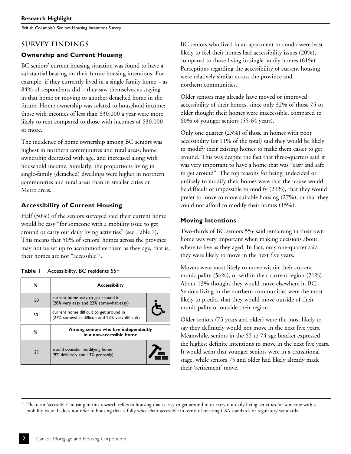British Columbia's Seniors Housing Intentions Survey

# **SURVEY FINDINGS**

# **Ownership and Current Housing**

BC seniors' current housing situation was found to have a substantial bearing on their future housing intentions. For example, if they currently lived in a single family home – as 84% of respondents did – they saw themselves as staying in that home or moving to another detached home in the future. Home ownership was related to household income; those with incomes of less than \$30,000 a year were more likely to rent compared to those with incomes of \$30,000 or more.

The incidence of home ownership among BC seniors was highest in northern communities and rural areas; home ownership decreased with age, and increased along with household income. Similarly, the proportions living in single-family (detached) dwellings were higher in northern communities and rural areas than in smaller cities or Metro areas.

# **Accessibility of Current Housing**

Half (50%) of the seniors surveyed said their current home would be easy "for someone with a mobility issue to get around or carry out daily living activities" (see Table 1). This means that 50% of seniors' homes across the province may not be set up to accommodate them as they age, that is, their homes are not "accessible"1 .

| Accessibility, BC residents 55+<br>Table I |
|--------------------------------------------|
|--------------------------------------------|

| ℅  | <b>Accessibility</b>                                                                       |  |
|----|--------------------------------------------------------------------------------------------|--|
| 50 | current home easy to get around in<br>(28% very easy and 22% somewhat easy)                |  |
| 50 | current home difficult to get around in<br>(27% somewhat difficult and 23% very difficult) |  |
| ℅  | Among seniors who live independently<br>in a non-accessible home                           |  |
| 23 | would consider modifying home<br>(9% definitely and 13% probably)                          |  |

BC seniors who lived in an apartment or condo were least likely to feel their homes had accessibility issues (20%), compared to those living in single family homes (61%). Perceptions regarding the accessibility of current housing were relatively similar across the province and northern communities.

Older seniors may already have moved or improved accessibility of their homes, since only 32% of those 75 or older thought their homes were inaccessible, compared to 60% of younger seniors (55-64 years).

Only one quarter (23%) of those in homes with poor accessibility (or 11% of the total) said they would be likely to modify their existing homes to make them easier to get around. This was despite the fact that three-quarters said it was very important to have a home that was "easy and safe to get around". The top reasons for being undecided or unlikely to modify their homes were that the house would be difficult or impossible to modify (29%), that they would prefer to move to more suitable housing (27%), or that they could not afford to modify their homes (15%).

# **Moving Intentions**

Two-thirds of BC seniors 55+ said remaining in their own home was very important when making decisions about where to live as they aged. In fact, only one-quarter said they were likely to move in the next five years.

Movers were most likely to move within their current municipality (56%), or within their current region (21%). About 13% thought they would move elsewhere in BC. Seniors living in the northern communities were the most likely to predict that they would move outside of their municipality or outside their region.

Older seniors (75 years and older) were the most likely to say they definitely would not move in the next five years. Meanwhile, seniors in the 65 to 74 age bracket expressed the highest definite intentions to move in the next five years. It would seem that younger seniors were in a transitional stage, while seniors 75 and older had likely already made their 'retirement' move.

1 The term 'accessible' housing in this research refers to housing that is easy to get around in or carry out daily living activities for someone with a mobility issue. It does not refer to housing that is fully wheelchair accessible in terms of meeting CSA standards or regulatory standards.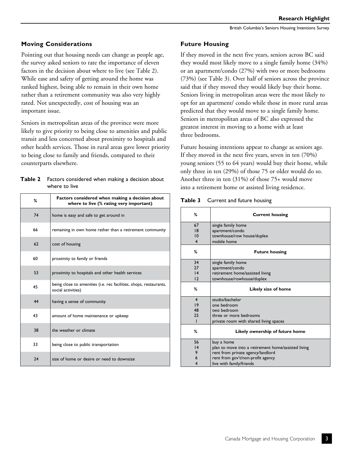#### **Moving Considerations**

Pointing out that housing needs can change as people age, the survey asked seniors to rate the importance of eleven factors in the decision about where to live (see Table 2). While ease and safety of getting around the home was ranked highest, being able to remain in their own home rather than a retirement community was also very highly rated. Not unexpectedly, cost of housing was an important issue.

Seniors in metropolitan areas of the province were more likely to give priority to being close to amenities and public transit and less concerned about proximity to hospitals and other health services. Those in rural areas gave lower priority to being close to family and friends, compared to their counterparts elsewhere.

#### **Table 2** Factors considered when making a decision about where to live

| ℅  | Factors considered when making a decision about<br>where to live (% rating very important) |  |
|----|--------------------------------------------------------------------------------------------|--|
| 74 | home is easy and safe to get around in                                                     |  |
| 66 | remaining in own home rather than a retirement community                                   |  |
| 62 | cost of housing                                                                            |  |
| 60 | proximity to family or friends                                                             |  |
| 53 | proximity to hospitals and other health services                                           |  |
| 45 | being close to amenities (i.e. rec facilities, shops, restaurants,<br>social activities)   |  |
| 44 | having a sense of community                                                                |  |
| 43 | amount of home maintenance or upkeep                                                       |  |
| 38 | the weather or climate                                                                     |  |
| 33 | being close to public transportation                                                       |  |
| 24 | size of home or desire or need to downsize                                                 |  |

#### **Future Housing**

If they moved in the next five years, seniors across BC said they would most likely move to a single family home (34%) or an apartment/condo (27%) with two or more bedrooms (73%) (see Table 3). Over half of seniors across the province said that if they moved they would likely buy their home. Seniors living in metropolitan areas were the most likely to opt for an apartment/ condo while those in more rural areas predicted that they would move to a single family home. Seniors in metropolitan areas of BC also expressed the greatest interest in moving to a home with at least three bedrooms.

Future housing intentions appear to change as seniors age. If they moved in the next five years, seven in ten (70%) young seniors (55 to 64 years) would buy their home, while only three in ten (29%) of those 75 or older would do so. Another three in ten (31%) of those 75+ would move into a retirement home or assisted living residence.

| Table 3 Current and future housing |
|------------------------------------|
|                                    |

| %                       | <b>Current housing</b>                              |
|-------------------------|-----------------------------------------------------|
| 67                      | single family home                                  |
| 18                      | apartment/condo                                     |
| $\overline{10}$         | townhouse/row house/duplex                          |
| $\overline{\mathbf{4}}$ | mobile home                                         |
| %                       | <b>Future housing</b>                               |
| 34                      | single family home                                  |
| 27                      | apartment/condo                                     |
| $\overline{14}$         | retirement home/assisted living                     |
| $\overline{12}$         | townhouse/rowhouse/duplex                           |
| %                       | Likely size of home                                 |
| $\overline{\mathbf{4}}$ | studio/bachelor                                     |
| 19                      | one bedroom                                         |
| 48                      | two bedroom                                         |
| 25                      | three or more bedrooms                              |
| ı                       | private room with shared living spaces              |
| %                       | Likely ownership of future home                     |
| 56                      | buy a home                                          |
| 4                       | plan to move into a retirement home/assisted living |
| 9                       | rent from private agency/landlord                   |
| 6                       | rent from gov't/non-profit agency                   |
| 4                       | live with family/friends                            |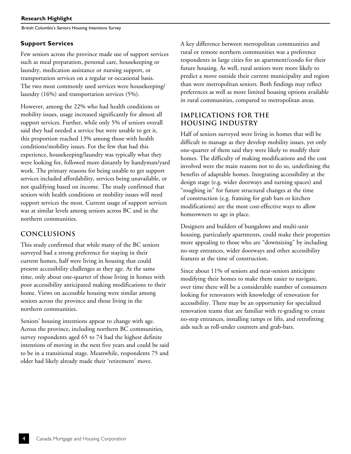British Columbia's Seniors Housing Intentions Survey

#### **Support Services**

Few seniors across the province made use of support services such as meal preparation, personal care, housekeeping or laundry, medication assistance or nursing support, or transportation services on a regular or occasional basis. The two most commonly used services were housekeeping/ laundry (16%) and transportation services (5%).

However, among the 22% who had health conditions or mobility issues, usage increased significantly for almost all support services. Further, while only 5% of seniors overall said they had needed a service but were unable to get it, this proportion reached 13% among those with health conditions/mobility issues. For the few that had this experience, housekeeping/laundry was typically what they were looking for, followed more distantly by handyman/yard work. The primary reasons for being unable to get support services included affordability, services being unavailable, or not qualifying based on income. The study confirmed that seniors with health conditions or mobility issues will need support services the most. Current usage of support services was at similar levels among seniors across BC and in the northern communities.

# **CONCLUSIONS**

This study confirmed that while many of the BC seniors surveyed had a strong preference for staying in their current homes, half were living in housing that could present accessibility challenges as they age. At the same time, only about one-quarter of those living in homes with poor accessibility anticipated making modifications to their home. Views on accessible housing were similar among seniors across the province and those living in the northern communities.

Seniors' housing intentions appear to change with age. Across the province, including northern BC communities, survey respondents aged 65 to 74 had the highest definite intentions of moving in the next five years and could be said to be in a transitional stage. Meanwhile, respondents 75 and older had likely already made their 'retirement' move.

A key difference between metropolitan communities and rural or remote northern communities was a preference respondents in large cities for an apartment/condo for their future housing. As well, rural seniors were more likely to predict a move outside their current municipality and region than were metropolitan seniors. Both findings may reflect preferences as well as more limited housing options available in rural communities, compared to metropolitan areas.

# **IMPLICATIONS FOR THE HOUSING INDUSTRY**

Half of seniors surveyed were living in homes that will be difficult to manage as they develop mobility issues, yet only one-quarter of them said they were likely to modify their homes. The difficulty of making modifications and the cost involved were the main reasons not to do so, underlining the benefits of adaptable homes. Integrating accessibility at the design stage (e.g. wider doorways and turning spaces) and "roughing in" for future structural changes at the time of construction (e.g. framing for grab bars or kitchen modifications) are the most cost-effective ways to allow homeowners to age in place.

Designers and builders of bungalows and multi-unit housing, particularly apartments, could make their properties more appealing to those who are "downsizing" by including no-step entrances, wider doorways and other accessibility features at the time of construction.

Since about 11% of seniors and near-seniors anticipate modifying their homes to make them easier to navigate, over time there will be a considerable number of consumers looking for renovators with knowledge of renovation for accessibility. There may be an opportunity for specialized renovation teams that are familiar with re-grading to create no-step entrances, installing ramps or lifts, and retrofitting aids such as roll-under counters and grab-bars.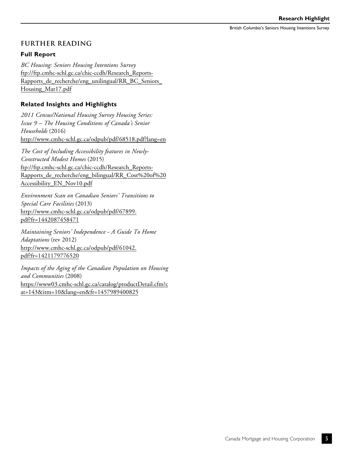British Columbia's Seniors Housing Intentions Survey

#### **FURTHER READING**

#### **Full Report**

*BC Housing: Seniors Housing Intentions Survey* [ftp://ftp.cmhc-schl.gc.ca/chic-ccdh/Research\\_Reports-](ftp://ftp.cmhc-schl.gc.ca/chic-ccdh/Research_Reports-Rapports_de_recherche/eng_unilingual/RR_BC_Seniors_Housing_Mar17.pdf)[Rapports\\_de\\_recherche/eng\\_unilingual/RR\\_BC\\_Seniors\\_](ftp://ftp.cmhc-schl.gc.ca/chic-ccdh/Research_Reports-Rapports_de_recherche/eng_unilingual/RR_BC_Seniors_Housing_Mar17.pdf) [Housing\\_Mar17.pdf](ftp://ftp.cmhc-schl.gc.ca/chic-ccdh/Research_Reports-Rapports_de_recherche/eng_unilingual/RR_BC_Seniors_Housing_Mar17.pdf)

#### **Related Insights and Highlights**

*2011 Census/National Housing Survey Housing Series: Issue 9 – The Housing Conditions of Canada's Senior Households* (2016) <http://www.cmhc-schl.gc.ca/odpub/pdf/68518.pdf?lang=en>

*The Cost of Including Accessibility features in Newly-Constructed Modest Homes* (2015) [ftp://ftp.cmhc-schl.gc.ca/chic-ccdh/Research\\_Reports-](ftp://ftp.cmhc-schl.gc.ca/chic-ccdh/Research_Reports-Rapports_de_recherche/eng_bilingual/RR_Cost%20of%20Accessibility_EN_Nov10.pdf)[Rapports\\_de\\_recherche/eng\\_bilingual/RR\\_Cost%20of%20](ftp://ftp.cmhc-schl.gc.ca/chic-ccdh/Research_Reports-Rapports_de_recherche/eng_bilingual/RR_Cost%20of%20Accessibility_EN_Nov10.pdf) [Accessibility\\_EN\\_Nov10.pdf](ftp://ftp.cmhc-schl.gc.ca/chic-ccdh/Research_Reports-Rapports_de_recherche/eng_bilingual/RR_Cost%20of%20Accessibility_EN_Nov10.pdf)

*Environment Scan on Canadian Seniors' Transitions to Special Care Facilities* (2013) [http://www.cmhc-schl.gc.ca/odpub/pdf/67899.](http://www.cmhc-schl.gc.ca/odpub/pdf/67899.pdf?fr=1442087458471) [pdf?fr=1442087458471](http://www.cmhc-schl.gc.ca/odpub/pdf/67899.pdf?fr=1442087458471)

*Maintaining Seniors' Independence - A Guide To Home Adaptations* (rev 2012) [http://www.cmhc-schl.gc.ca/odpub/pdf/61042.](http://www.cmhc-schl.gc.ca/odpub/pdf/61042.pdf?fr=1421179776520) [pdf?fr=1421179776520](http://www.cmhc-schl.gc.ca/odpub/pdf/61042.pdf?fr=1421179776520)

*Impacts of the Aging of the Canadian Population on Housing and Communities* (2008) [https://www03.cmhc-schl.gc.ca/catalog/productDetail.cfm?c](https://www03.cmhc-schl.gc.ca/catalog/productDetail.cfm?cat=143&itm=10&lang=en&fr=1457989400825 ) [at=143&itm=10&lang=en&fr=1457989400825](https://www03.cmhc-schl.gc.ca/catalog/productDetail.cfm?cat=143&itm=10&lang=en&fr=1457989400825 )